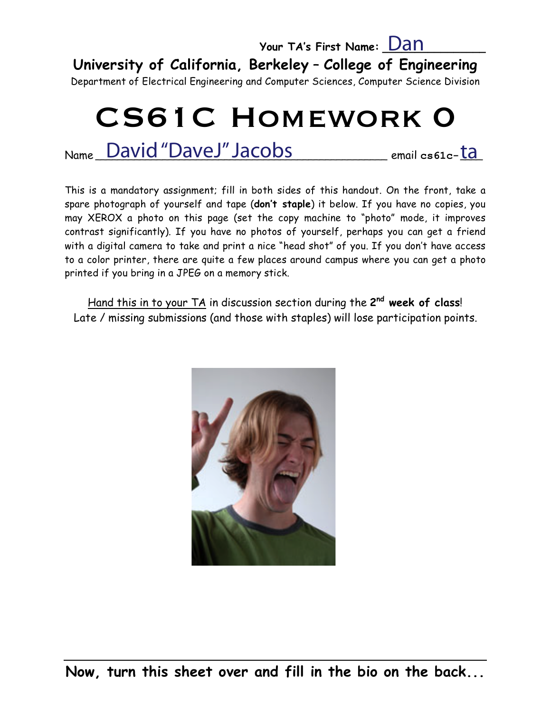# **Your TA's First Name: \_\_\_\_\_\_\_\_\_\_\_\_\_\_\_\_** Dan

**University of California, Berkeley** – **College of Engineering**

Department of Electrical Engineering and Computer Sciences, Computer Science Division

# CS61C Homework 0

Name\_David "DaveJ" Jacobs \_\_\_\_\_\_\_\_\_\_\_ email cs61c-<mark>ta</mark>

This is a mandatory assignment; fill in both sides of this handout. On the front, take a spare photograph of yourself and tape (**don't staple**) it below. If you have no copies, you may XEROX a photo on this page (set the copy machine to "photo" mode, it improves contrast significantly). If you have no photos of yourself, perhaps you can get a friend with a digital camera to take and print a nice "head shot" of you. If you don't have access to a color printer, there are quite a few places around campus where you can get a photo printed if you bring in a JPEG on a memory stick.

Hand this in to your TA in discussion section during the **2nd week of class**! Late / missing submissions (and those with staples) will lose participation points.